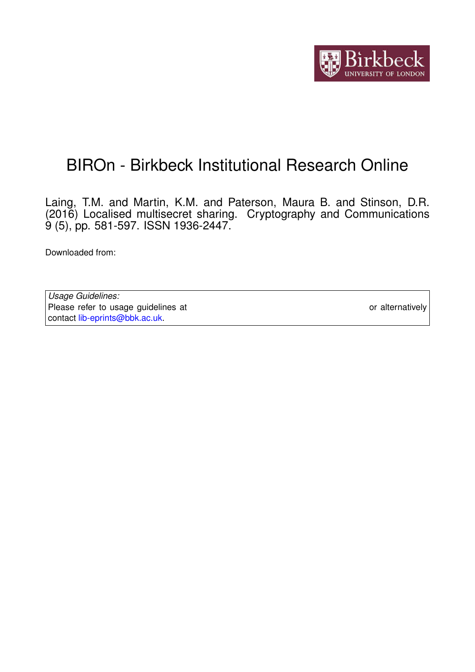

# BIROn - Birkbeck Institutional Research Online

Laing, T.M. and Martin, K.M. and Paterson, Maura B. and Stinson, D.R. (2016) Localised multisecret sharing. Cryptography and Communications 9 (5), pp. 581-597. ISSN 1936-2447.

Downloaded from: <https://eprints.bbk.ac.uk/id/eprint/15825/>

*Usage Guidelines:* Please refer to usage guidelines at <https://eprints.bbk.ac.uk/policies.html> or alternatively contact [lib-eprints@bbk.ac.uk.](mailto:lib-eprints@bbk.ac.uk)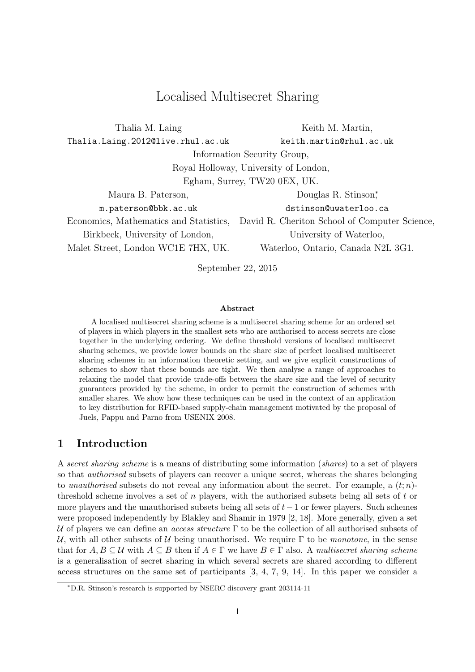# Localised Multisecret Sharing

| Thalia M. Laing                        | Keith M. Martin,                              |  |  |
|----------------------------------------|-----------------------------------------------|--|--|
| Thalia.Laing.2012@live.rhul.ac.uk      | keith.martin@rhul.ac.uk                       |  |  |
| Information Security Group,            |                                               |  |  |
|                                        | Royal Holloway, University of London,         |  |  |
| Egham, Surrey, TW20 0EX, UK.           |                                               |  |  |
| Maura B. Paterson,                     | Douglas R. Stinson,*                          |  |  |
| m.paterson@bbk.ac.uk                   | dstinson@uwaterloo.ca                         |  |  |
| Economics, Mathematics and Statistics, | David R. Cheriton School of Computer Science, |  |  |
| Birkbeck, University of London,        | University of Waterloo,                       |  |  |
| Malet Street, London WC1E 7HX, UK.     | Waterloo, Ontario, Canada N2L 3G1.            |  |  |
|                                        |                                               |  |  |

September 22, 2015

#### Abstract

A localised multisecret sharing scheme is a multisecret sharing scheme for an ordered set of players in which players in the smallest sets who are authorised to access secrets are close together in the underlying ordering. We define threshold versions of localised multisecret sharing schemes, we provide lower bounds on the share size of perfect localised multisecret sharing schemes in an information theoretic setting, and we give explicit constructions of schemes to show that these bounds are tight. We then analyse a range of approaches to relaxing the model that provide trade-offs between the share size and the level of security guarantees provided by the scheme, in order to permit the construction of schemes with smaller shares. We show how these techniques can be used in the context of an application to key distribution for RFID-based supply-chain management motivated by the proposal of Juels, Pappu and Parno from USENIX 2008.

### 1 Introduction

A secret sharing scheme is a means of distributing some information (shares) to a set of players so that authorised subsets of players can recover a unique secret, whereas the shares belonging to unauthorised subsets do not reveal any information about the secret. For example, a  $(t; n)$ threshold scheme involves a set of  $n$  players, with the authorised subsets being all sets of  $t$  or more players and the unauthorised subsets being all sets of  $t-1$  or fewer players. Such schemes were proposed independently by Blakley and Shamir in 1979 [2, 18]. More generally, given a set U of players we can define an *access structure*  $\Gamma$  to be the collection of all authorised subsets of U, with all other subsets of U being unauthorised. We require  $\Gamma$  to be *monotone*, in the sense that for  $A, B \subseteq \mathcal{U}$  with  $A \subseteq B$  then if  $A \in \Gamma$  we have  $B \in \Gamma$  also. A multisecret sharing scheme is a generalisation of secret sharing in which several secrets are shared according to different access structures on the same set of participants [3, 4, 7, 9, 14]. In this paper we consider a

<sup>∗</sup>D.R. Stinson's research is supported by NSERC discovery grant 203114-11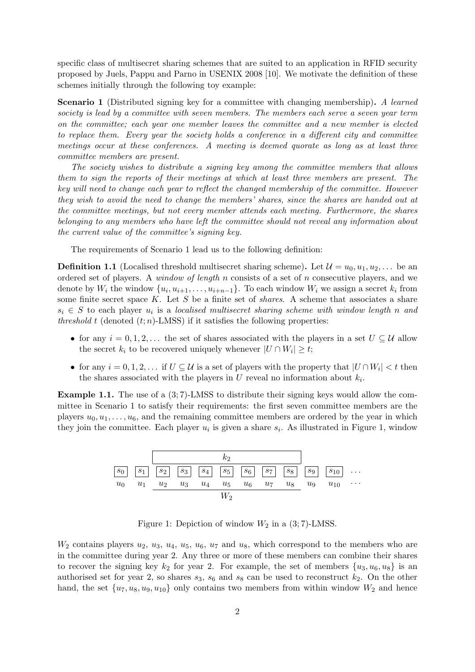specific class of multisecret sharing schemes that are suited to an application in RFID security proposed by Juels, Pappu and Parno in USENIX 2008 [10]. We motivate the definition of these schemes initially through the following toy example:

**Scenario 1** (Distributed signing key for a committee with changing membership). A learned society is lead by a committee with seven members. The members each serve a seven year term on the committee; each year one member leaves the committee and a new member is elected to replace them. Every year the society holds a conference in a different city and committee meetings occur at these conferences. A meeting is deemed quorate as long as at least three committee members are present.

The society wishes to distribute a signing key among the committee members that allows them to sign the reports of their meetings at which at least three members are present. The key will need to change each year to reflect the changed membership of the committee. However they wish to avoid the need to change the members' shares, since the shares are handed out at the committee meetings, but not every member attends each meeting. Furthermore, the shares belonging to any members who have left the committee should not reveal any information about the current value of the committee's signing key.

The requirements of Scenario 1 lead us to the following definition:

**Definition 1.1** (Localised threshold multisecret sharing scheme). Let  $\mathcal{U} = u_0, u_1, u_2, \ldots$  be an ordered set of players. A window of length  $n$  consists of a set of  $n$  consecutive players, and we denote by  $W_i$  the window  $\{u_i, u_{i+1}, \ldots, u_{i+n-1}\}$ . To each window  $W_i$  we assign a secret  $k_i$  from some finite secret space K. Let S be a finite set of *shares*. A scheme that associates a share  $s_i \in S$  to each player  $u_i$  is a localised multisecret sharing scheme with window length n and threshold t (denoted  $(t; n)$ -LMSS) if it satisfies the following properties:

- for any  $i = 0, 1, 2, \ldots$  the set of shares associated with the players in a set  $U \subseteq \mathcal{U}$  allow the secret  $k_i$  to be recovered uniquely whenever  $|U \cap W_i| \geq t$ ;
- for any  $i = 0, 1, 2, \ldots$  if  $U \subseteq \mathcal{U}$  is a set of players with the property that  $|U \cap W_i| < t$  then the shares associated with the players in  $U$  reveal no information about  $k_i$ .

Example 1.1. The use of a (3; 7)-LMSS to distribute their signing keys would allow the committee in Scenario 1 to satisfy their requirements: the first seven committee members are the players  $u_0, u_1, \ldots, u_6$ , and the remaining committee members are ordered by the year in which they join the committee. Each player  $u_i$  is given a share  $s_i$ . As illustrated in Figure 1, window



Figure 1: Depiction of window  $W_2$  in a  $(3, 7)$ -LMSS.

 $W_2$  contains players  $u_2, u_3, u_4, u_5, u_6, u_7$  and  $u_8$ , which correspond to the members who are in the committee during year 2. Any three or more of these members can combine their shares to recover the signing key  $k_2$  for year 2. For example, the set of members  $\{u_3, u_6, u_8\}$  is an authorised set for year 2, so shares  $s_3$ ,  $s_6$  and  $s_8$  can be used to reconstruct  $k_2$ . On the other hand, the set  $\{u_7, u_8, u_9, u_{10}\}$  only contains two members from within window  $W_2$  and hence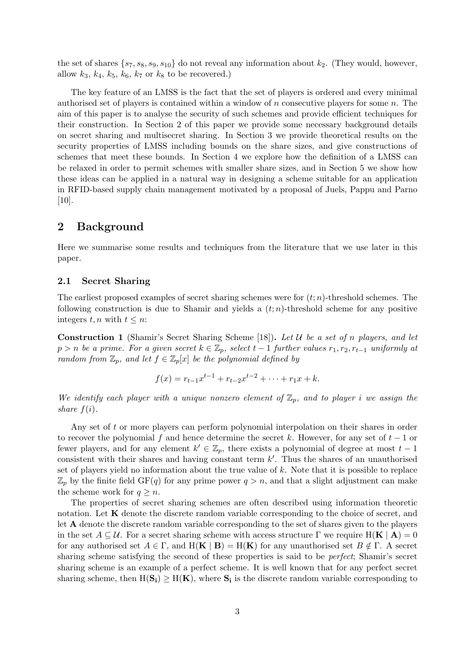the set of shares  $\{s_7, s_8, s_9, s_{10}\}$  do not reveal any information about  $k_2$ . (They would, however, allow  $k_3$ ,  $k_4$ ,  $k_5$ ,  $k_6$ ,  $k_7$  or  $k_8$  to be recovered.)

The key feature of an LMSS is the fact that the set of players is ordered and every minimal authorised set of players is contained within a window of  $n$  consecutive players for some  $n$ . The aim of this paper is to analyse the security of such schemes and provide efficient techniques for their construction. In Section 2 of this paper we provide some necessary background details on secret sharing and multisecret sharing. In Section 3 we provide theoretical results on the security properties of LMSS including bounds on the share sizes, and give constructions of schemes that meet these bounds. In Section 4 we explore how the definition of a LMSS can be relaxed in order to permit schemes with smaller share sizes, and in Section 5 we show how these ideas can be applied in a natural way in designing a scheme suitable for an application in RFID-based supply chain management motivated by a proposal of Juels, Pappu and Parno [10].

## 2 Background

Here we summarise some results and techniques from the literature that we use later in this paper.

#### 2.1 Secret Sharing

The earliest proposed examples of secret sharing schemes were for  $(t; n)$ -threshold schemes. The following construction is due to Shamir and yields a  $(t; n)$ -threshold scheme for any positive integers  $t, n$  with  $t \leq n$ :

**Construction 1** (Shamir's Secret Sharing Scheme [18]). Let U be a set of n players, and let  $p > n$  be a prime. For a given secret  $k \in \mathbb{Z}_p$ , select  $t - 1$  further values  $r_1, r_2, r_{t-1}$  uniformly at random from  $\mathbb{Z}_p$ , and let  $f \in \mathbb{Z}_p[x]$  be the polynomial defined by

$$
f(x) = r_{t-1}x^{t-1} + r_{t-2}x^{t-2} + \dots + r_1x + k.
$$

We identify each player with a unique nonzero element of  $\mathbb{Z}_p$ , and to player i we assign the share  $f(i)$ .

Any set of t or more players can perform polynomial interpolation on their shares in order to recover the polynomial f and hence determine the secret k. However, for any set of  $t-1$  or fewer players, and for any element  $k' \in \mathbb{Z}_p$ , there exists a polynomial of degree at most  $t-1$ consistent with their shares and having constant term  $k'$ . Thus the shares of an unauthorised set of players yield no information about the true value of  $k$ . Note that it is possible to replace  $\mathbb{Z}_p$  by the finite field GF(q) for any prime power  $q > n$ , and that a slight adjustment can make the scheme work for  $q \geq n$ .

The properties of secret sharing schemes are often described using information theoretic notation. Let **K** denote the discrete random variable corresponding to the choice of secret, and let A denote the discrete random variable corresponding to the set of shares given to the players in the set  $A \subseteq U$ . For a secret sharing scheme with access structure  $\Gamma$  we require  $H(K | A) = 0$ for any authorised set  $A \in \Gamma$ , and  $H(K | B) = H(K)$  for any unauthorised set  $B \notin \Gamma$ . A secret sharing scheme satisfying the second of these properties is said to be *perfect*; Shamir's secret sharing scheme is an example of a perfect scheme. It is well known that for any perfect secret sharing scheme, then  $H(S_i) \geq H(K)$ , where  $S_i$  is the discrete random variable corresponding to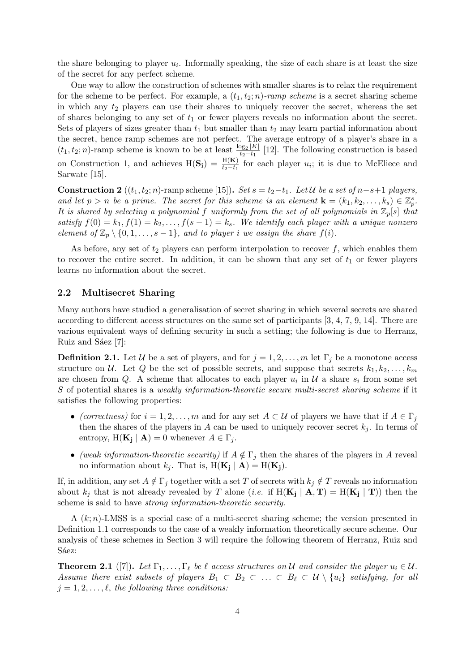the share belonging to player  $u_i$ . Informally speaking, the size of each share is at least the size of the secret for any perfect scheme.

One way to allow the construction of schemes with smaller shares is to relax the requirement for the scheme to be perfect. For example, a  $(t_1, t_2; n)$ -ramp scheme is a secret sharing scheme in which any  $t_2$  players can use their shares to uniquely recover the secret, whereas the set of shares belonging to any set of  $t_1$  or fewer players reveals no information about the secret. Sets of players of sizes greater than  $t_1$  but smaller than  $t_2$  may learn partial information about the secret, hence ramp schemes are not perfect. The average entropy of a player's share in a  $(t_1, t_2; n)$ -ramp scheme is known to be at least  $\frac{\log_2 |K|}{t_2 - t_1}$  $\frac{\log_2 |K|}{t_2-t_1}$  [12]. The following construction is based on Construction 1, and achieves  $H(S_i) = \frac{H(K)}{t_2-t_1}$  for each player  $u_i$ ; it is due to McEliece and Sarwate [15].

**Construction 2** ( $(t_1, t_2; n)$ -ramp scheme [15]). Set  $s = t_2-t_1$ . Let U be a set of  $n-s+1$  players, and let  $p > n$  be a prime. The secret for this scheme is an element  $\mathbf{k} = (k_1, k_2, \ldots, k_s) \in \mathbb{Z}_p^s$ . It is shared by selecting a polynomial f uniformly from the set of all polynomials in  $\mathbb{Z}_p[s]$  that satisfy  $f(0) = k_1, f(1) = k_2, \ldots, f(s-1) = k_s$ . We identify each player with a unique nonzero element of  $\mathbb{Z}_p \setminus \{0, 1, \ldots, s-1\}$ , and to player i we assign the share  $f(i)$ .

As before, any set of  $t_2$  players can perform interpolation to recover f, which enables them to recover the entire secret. In addition, it can be shown that any set of  $t_1$  or fewer players learns no information about the secret.

### 2.2 Multisecret Sharing

Many authors have studied a generalisation of secret sharing in which several secrets are shared according to different access structures on the same set of participants [3, 4, 7, 9, 14]. There are various equivalent ways of defining security in such a setting; the following is due to Herranz, Ruiz and Sáez [7]:

**Definition 2.1.** Let U be a set of players, and for  $j = 1, 2, ..., m$  let  $\Gamma_j$  be a monotone access structure on U. Let Q be the set of possible secrets, and suppose that secrets  $k_1, k_2, \ldots, k_m$ are chosen from Q. A scheme that allocates to each player  $u_i$  in  $\mathcal U$  a share  $s_i$  from some set S of potential shares is a *weakly information-theoretic secure multi-secret sharing scheme* if it satisfies the following properties:

- (correctness) for  $i = 1, 2, ..., m$  and for any set  $A \subset U$  of players we have that if  $A \in \Gamma_i$ then the shares of the players in A can be used to uniquely recover secret  $k_j$ . In terms of entropy,  $H(K_j | A) = 0$  whenever  $A \in \Gamma_j$ .
- (weak information-theoretic security) if  $A \notin \Gamma_i$  then the shares of the players in A reveal no information about  $k_j$ . That is,  $H(K_j | A) = H(K_j)$ .

If, in addition, any set  $A \notin \Gamma_j$  together with a set T of secrets with  $k_j \notin T$  reveals no information about  $k_j$  that is not already revealed by T alone (*i.e.* if  $H(K_j | A, T) = H(K_j | T)$ ) then the scheme is said to have strong information-theoretic security.

A  $(k; n)$ -LMSS is a special case of a multi-secret sharing scheme; the version presented in Definition 1.1 corresponds to the case of a weakly information theoretically secure scheme. Our analysis of these schemes in Section 3 will require the following theorem of Herranz, Ruiz and Sáez:

**Theorem 2.1** ([7]). Let  $\Gamma_1, \ldots, \Gamma_\ell$  be  $\ell$  access structures on U and consider the player  $u_i \in \mathcal{U}$ . Assume there exist subsets of players  $B_1 \subset B_2 \subset \ldots \subset B_\ell \subset \mathcal{U} \setminus \{u_i\}$  satisfying, for all  $j = 1, 2, \ldots, \ell$ , the following three conditions: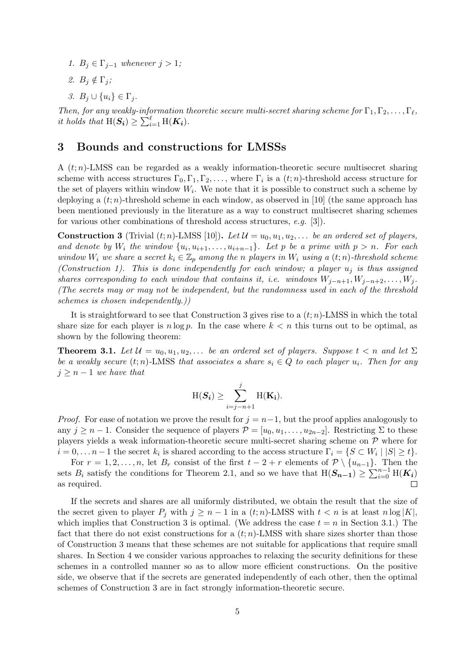- 1.  $B_j \in \Gamma_{j-1}$  whenever  $j > 1$ ;
- 2.  $B_i \notin \Gamma_i$ ;
- 3.  $B_i \cup \{u_i\} \in \Gamma_i$ .

Then, for any weakly-information theoretic secure multi-secret sharing scheme for  $\Gamma_1, \Gamma_2, \ldots, \Gamma_\ell$ , it holds that  $H(S_i) \geq \sum_{i=1}^{\ell} H(K_i)$ .

## 3 Bounds and constructions for LMSSs

A  $(t; n)$ -LMSS can be regarded as a weakly information-theoretic secure multisecret sharing scheme with access structures  $\Gamma_0, \Gamma_1, \Gamma_2, \ldots$ , where  $\Gamma_i$  is a  $(t; n)$ -threshold access structure for the set of players within window  $W_i$ . We note that it is possible to construct such a scheme by deploying a  $(t; n)$ -threshold scheme in each window, as observed in [10] (the same approach has been mentioned previously in the literature as a way to construct multisecret sharing schemes for various other combinations of threshold access structures, e.g. [3]).

**Construction 3** (Trivial  $(t; n)$ -LMSS [10]). Let  $\mathcal{U} = u_0, u_1, u_2, \ldots$  be an ordered set of players, and denote by  $W_i$  the window  $\{u_i, u_{i+1}, \ldots, u_{i+n-1}\}$ . Let p be a prime with  $p > n$ . For each window  $W_i$  we share a secret  $k_i \in \mathbb{Z}_p$  among the n players in  $W_i$  using a  $(t; n)$ -threshold scheme (Construction 1). This is done independently for each window; a player  $u_i$  is thus assigned shares corresponding to each window that contains it, i.e. windows  $W_{j-n+1}, W_{j-n+2}, \ldots, W_j$ . (The secrets may or may not be independent, but the randomness used in each of the threshold schemes is chosen independently.))

It is straightforward to see that Construction 3 gives rise to a  $(t; n)$ -LMSS in which the total share size for each player is  $n \log p$ . In the case where  $k < n$  this turns out to be optimal, as shown by the following theorem:

**Theorem 3.1.** Let  $\mathcal{U} = u_0, u_1, u_2, \ldots$  be an ordered set of players. Suppose  $t < n$  and let  $\Sigma$ be a weakly secure  $(t; n)$ -LMSS that associates a share  $s_i \in Q$  to each player  $u_i$ . Then for any  $j \geq n-1$  we have that

$$
H(\mathbf{S_i}) \geq \sum_{i=j-n+1}^{j} H(\mathbf{K_i}).
$$

*Proof.* For ease of notation we prove the result for  $j = n-1$ , but the proof applies analogously to any  $j \geq n-1$ . Consider the sequence of players  $\mathcal{P} = [u_0, u_1, \dots, u_{2n-2}]$ . Restricting  $\Sigma$  to these players yields a weak information-theoretic secure multi-secret sharing scheme on P where for  $i = 0, \ldots n-1$  the secret  $k_i$  is shared according to the access structure  $\Gamma_i = \{S \subset W_i \mid |S| \geq t\}.$ 

For  $r = 1, 2, \ldots, n$ , let  $B_r$  consist of the first  $t - 2 + r$  elements of  $\mathcal{P} \setminus \{u_{n-1}\}.$  Then the sets  $B_i$  satisfy the conditions for Theorem 2.1, and so we have that  $H(S_{n-1}) \geq \sum_{i=0}^{n-1} H(K_i)$ as required.

If the secrets and shares are all uniformly distributed, we obtain the result that the size of the secret given to player  $P_i$  with  $j \geq n-1$  in a  $(t; n)$ -LMSS with  $t < n$  is at least  $n \log |K|$ , which implies that Construction 3 is optimal. (We address the case  $t = n$  in Section 3.1.) The fact that there do not exist constructions for a  $(t; n)$ -LMSS with share sizes shorter than those of Construction 3 means that these schemes are not suitable for applications that require small shares. In Section 4 we consider various approaches to relaxing the security definitions for these schemes in a controlled manner so as to allow more efficient constructions. On the positive side, we observe that if the secrets are generated independently of each other, then the optimal schemes of Construction 3 are in fact strongly information-theoretic secure.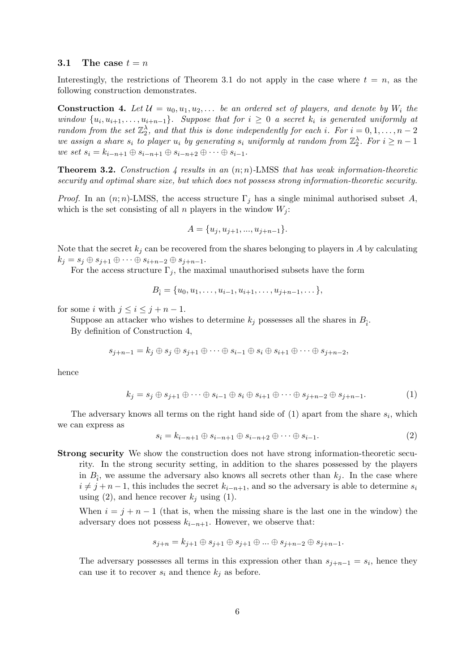### 3.1 The case  $t = n$

Interestingly, the restrictions of Theorem 3.1 do not apply in the case where  $t = n$ , as the following construction demonstrates.

**Construction 4.** Let  $\mathcal{U} = u_0, u_1, u_2, \ldots$  be an ordered set of players, and denote by  $W_i$  the window  $\{u_i, u_{i+1}, \ldots, u_{i+n-1}\}$ . Suppose that for  $i \geq 0$  a secret  $k_i$  is generated uniformly at random from the set  $\mathbb{Z}_2^{\lambda}$ , and that this is done independently for each i. For  $i = 0, 1, ..., n-2$ we assign a share  $s_i$  to player  $u_i$  by generating  $s_i$  uniformly at random from  $\mathbb{Z}_2^{\lambda}$ . For  $i \geq n-1$ we set  $s_i = k_{i-n+1} \oplus s_{i-n+1} \oplus s_{i-n+2} \oplus \cdots \oplus s_{i-1}$ .

**Theorem 3.2.** Construction 4 results in an  $(n;n)$ -LMSS that has weak information-theoretic security and optimal share size, but which does not possess strong information-theoretic security.

*Proof.* In an  $(n; n)$ -LMSS, the access structure  $\Gamma_j$  has a single minimal authorised subset A, which is the set consisting of all n players in the window  $W_i$ :

$$
A = \{u_j, u_{j+1}, \dots, u_{j+n-1}\}.
$$

Note that the secret  $k_i$  can be recovered from the shares belonging to players in A by calculating  $k_j = s_j \oplus s_{j+1} \oplus \cdots \oplus s_{i+n-2} \oplus s_{j+n-1}.$ 

For the access structure  $\Gamma_i$ , the maximal unauthorised subsets have the form

$$
B_{\hat{i}} = \{u_0, u_1, \dots, u_{i-1}, u_{i+1}, \dots, u_{j+n-1}, \dots\},\
$$

for some i with  $j \leq i \leq j + n - 1$ .

Suppose an attacker who wishes to determine  $k_j$  possesses all the shares in  $B_{\hat{i}}$ . By definition of Construction 4,

$$
s_{j+n-1} = k_j \oplus s_j \oplus s_{j+1} \oplus \cdots \oplus s_{i-1} \oplus s_i \oplus s_{i+1} \oplus \cdots \oplus s_{j+n-2},
$$

hence

$$
k_j = s_j \oplus s_{j+1} \oplus \cdots \oplus s_{i-1} \oplus s_i \oplus s_{i+1} \oplus \cdots \oplus s_{j+n-2} \oplus s_{j+n-1}.
$$

$$
\tag{1}
$$

The adversary knows all terms on the right hand side of  $(1)$  apart from the share  $s_i$ , which we can express as

$$
s_i = k_{i-n+1} \oplus s_{i-n+1} \oplus s_{i-n+2} \oplus \cdots \oplus s_{i-1}.
$$
\n
$$
(2)
$$

Strong security We show the construction does not have strong information-theoretic secu-

rity. In the strong security setting, in addition to the shares possessed by the players in  $B_{\hat{i}}$ , we assume the adversary also knows all secrets other than  $k_j$ . In the case where  $i \neq j + n - 1$ , this includes the secret  $k_{i-n+1}$ , and so the adversary is able to determine  $s_i$ using (2), and hence recover  $k_i$  using (1).

When  $i = j + n - 1$  (that is, when the missing share is the last one in the window) the adversary does not possess  $k_{i-n+1}$ . However, we observe that:

$$
s_{j+n} = k_{j+1} \oplus s_{j+1} \oplus s_{j+1} \oplus \ldots \oplus s_{j+n-2} \oplus s_{j+n-1}.
$$

The adversary possesses all terms in this expression other than  $s_{j+n-1} = s_i$ , hence they can use it to recover  $s_i$  and thence  $k_j$  as before.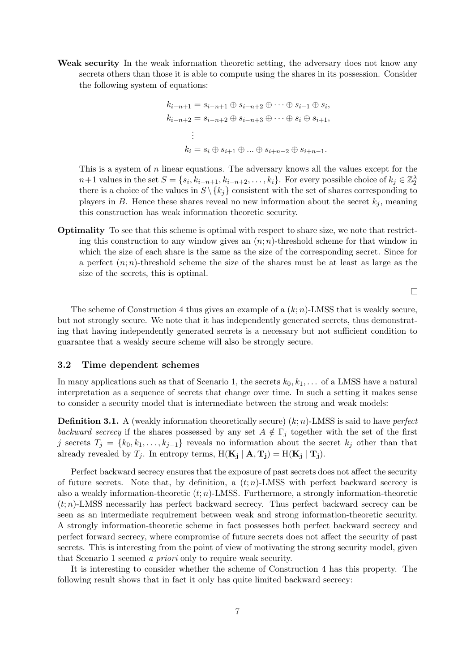Weak security In the weak information theoretic setting, the adversary does not know any secrets others than those it is able to compute using the shares in its possession. Consider the following system of equations:

$$
k_{i-n+1} = s_{i-n+1} \oplus s_{i-n+2} \oplus \cdots \oplus s_{i-1} \oplus s_i,
$$
  
\n
$$
k_{i-n+2} = s_{i-n+2} \oplus s_{i-n+3} \oplus \cdots \oplus s_i \oplus s_{i+1},
$$
  
\n
$$
\vdots
$$
  
\n
$$
k_i = s_i \oplus s_{i+1} \oplus \ldots \oplus s_{i+n-2} \oplus s_{i+n-1}.
$$

This is a system of  $n$  linear equations. The adversary knows all the values except for the  $n+1$  values in the set  $S = \{s_i, k_{i-n+1}, k_{i-n+2}, \ldots, k_i\}$ . For every possible choice of  $k_j \in \mathbb{Z}_2^{\lambda}$ there is a choice of the values in  $S \setminus \{k_i\}$  consistent with the set of shares corresponding to players in B. Hence these shares reveal no new information about the secret  $k_j$ , meaning this construction has weak information theoretic security.

Optimality To see that this scheme is optimal with respect to share size, we note that restricting this construction to any window gives an  $(n;n)$ -threshold scheme for that window in which the size of each share is the same as the size of the corresponding secret. Since for a perfect  $(n; n)$ -threshold scheme the size of the shares must be at least as large as the size of the secrets, this is optimal.

 $\Box$ 

The scheme of Construction 4 thus gives an example of a  $(k; n)$ -LMSS that is weakly secure, but not strongly secure. We note that it has independently generated secrets, thus demonstrating that having independently generated secrets is a necessary but not sufficient condition to guarantee that a weakly secure scheme will also be strongly secure.

### 3.2 Time dependent schemes

In many applications such as that of Scenario 1, the secrets  $k_0, k_1, \ldots$  of a LMSS have a natural interpretation as a sequence of secrets that change over time. In such a setting it makes sense to consider a security model that is intermediate between the strong and weak models:

**Definition 3.1.** A (weakly information theoretically secure)  $(k; n)$ -LMSS is said to have *perfect* backward secrecy if the shares possessed by any set  $A \notin \Gamma_i$  together with the set of the first j secrets  $T_j = \{k_0, k_1, \ldots, k_{j-1}\}\$ reveals no information about the secret  $k_j$  other than that already revealed by  $T_j$ . In entropy terms,  $H(K_j | A, T_j) = H(K_j | T_j)$ .

Perfect backward secrecy ensures that the exposure of past secrets does not affect the security of future secrets. Note that, by definition, a  $(t; n)$ -LMSS with perfect backward secrecy is also a weakly information-theoretic  $(t; n)$ -LMSS. Furthermore, a strongly information-theoretic  $(t; n)$ -LMSS necessarily has perfect backward secrecy. Thus perfect backward secrecy can be seen as an intermediate requirement between weak and strong information-theoretic security. A strongly information-theoretic scheme in fact possesses both perfect backward secrecy and perfect forward secrecy, where compromise of future secrets does not affect the security of past secrets. This is interesting from the point of view of motivating the strong security model, given that Scenario 1 seemed a priori only to require weak security.

It is interesting to consider whether the scheme of Construction 4 has this property. The following result shows that in fact it only has quite limited backward secrecy: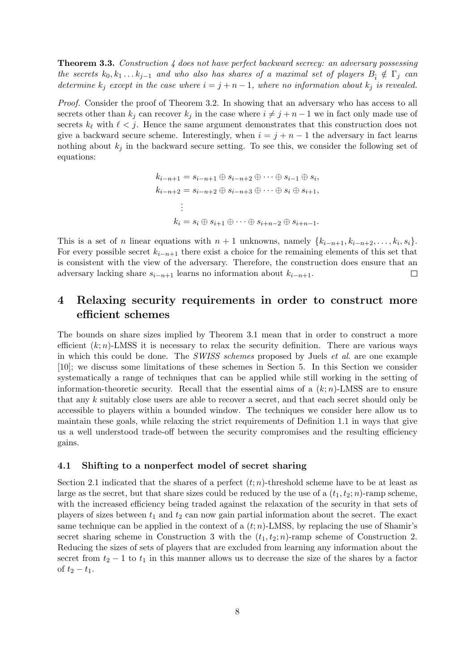Theorem 3.3. Construction 4 does not have perfect backward secrecy: an adversary possessing the secrets  $k_0, k_1 \ldots k_{j-1}$  and who also has shares of a maximal set of players  $B_i \notin \Gamma_j$  can determine  $k_j$  except in the case where  $i = j + n - 1$ , where no information about  $k_j$  is revealed.

Proof. Consider the proof of Theorem 3.2. In showing that an adversary who has access to all secrets other than  $k_j$  can recover  $k_j$  in the case where  $i \neq j + n - 1$  we in fact only made use of secrets  $k_{\ell}$  with  $\ell < j$ . Hence the same argument demonstrates that this construction does not give a backward secure scheme. Interestingly, when  $i = j + n - 1$  the adversary in fact learns nothing about  $k_i$  in the backward secure setting. To see this, we consider the following set of equations:

$$
k_{i-n+1} = s_{i-n+1} \oplus s_{i-n+2} \oplus \cdots \oplus s_{i-1} \oplus s_i,
$$
  
\n
$$
k_{i-n+2} = s_{i-n+2} \oplus s_{i-n+3} \oplus \cdots \oplus s_i \oplus s_{i+1},
$$
  
\n
$$
\vdots
$$
  
\n
$$
k_i = s_i \oplus s_{i+1} \oplus \cdots \oplus s_{i+n-2} \oplus s_{i+n-1}.
$$

This is a set of *n* linear equations with  $n + 1$  unknowns, namely  $\{k_{i-n+1}, k_{i-n+2}, \ldots, k_i, s_i\}$ . For every possible secret  $k_{i-n+1}$  there exist a choice for the remaining elements of this set that is consistent with the view of the adversary. Therefore, the construction does ensure that an adversary lacking share  $s_{i-n+1}$  learns no information about  $k_{i-n+1}$ .  $\Box$ 

# 4 Relaxing security requirements in order to construct more efficient schemes

The bounds on share sizes implied by Theorem 3.1 mean that in order to construct a more efficient  $(k; n)$ -LMSS it is necessary to relax the security definition. There are various ways in which this could be done. The SWISS schemes proposed by Juels et al. are one example [10]; we discuss some limitations of these schemes in Section 5. In this Section we consider systematically a range of techniques that can be applied while still working in the setting of information-theoretic security. Recall that the essential aims of a  $(k; n)$ -LMSS are to ensure that any k suitably close users are able to recover a secret, and that each secret should only be accessible to players within a bounded window. The techniques we consider here allow us to maintain these goals, while relaxing the strict requirements of Definition 1.1 in ways that give us a well understood trade-off between the security compromises and the resulting efficiency gains.

### 4.1 Shifting to a nonperfect model of secret sharing

Section 2.1 indicated that the shares of a perfect  $(t; n)$ -threshold scheme have to be at least as large as the secret, but that share sizes could be reduced by the use of a  $(t_1, t_2; n)$ -ramp scheme, with the increased efficiency being traded against the relaxation of the security in that sets of players of sizes between  $t_1$  and  $t_2$  can now gain partial information about the secret. The exact same technique can be applied in the context of a  $(t; n)$ -LMSS, by replacing the use of Shamir's secret sharing scheme in Construction 3 with the  $(t_1, t_2; n)$ -ramp scheme of Construction 2. Reducing the sizes of sets of players that are excluded from learning any information about the secret from  $t_2 - 1$  to  $t_1$  in this manner allows us to decrease the size of the shares by a factor of  $t_2 - t_1$ .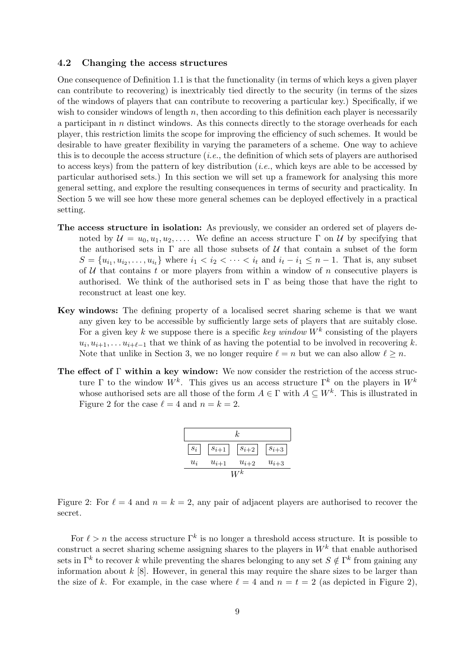### 4.2 Changing the access structures

One consequence of Definition 1.1 is that the functionality (in terms of which keys a given player can contribute to recovering) is inextricably tied directly to the security (in terms of the sizes of the windows of players that can contribute to recovering a particular key.) Specifically, if we wish to consider windows of length  $n$ , then according to this definition each player is necessarily a participant in n distinct windows. As this connects directly to the storage overheads for each player, this restriction limits the scope for improving the efficiency of such schemes. It would be desirable to have greater flexibility in varying the parameters of a scheme. One way to achieve this is to decouple the access structure  $(i.e.,$  the definition of which sets of players are authorised to access keys) from the pattern of key distribution (i.e., which keys are able to be accessed by particular authorised sets.) In this section we will set up a framework for analysing this more general setting, and explore the resulting consequences in terms of security and practicality. In Section 5 we will see how these more general schemes can be deployed effectively in a practical setting.

- The access structure in isolation: As previously, we consider an ordered set of players denoted by  $\mathcal{U} = u_0, u_1, u_2, \ldots$  We define an access structure  $\Gamma$  on  $\mathcal{U}$  by specifying that the authorised sets in  $\Gamma$  are all those subsets of U that contain a subset of the form  $S = \{u_{i_1}, u_{i_2}, \dots, u_{i_t}\}\$  where  $i_1 < i_2 < \dots < i_t$  and  $i_t - i_1 \leq n - 1$ . That is, any subset of  $U$  that contains t or more players from within a window of n consecutive players is authorised. We think of the authorised sets in  $\Gamma$  as being those that have the right to reconstruct at least one key.
- Key windows: The defining property of a localised secret sharing scheme is that we want any given key to be accessible by sufficiently large sets of players that are suitably close. For a given key k we suppose there is a specific key window  $W^k$  consisting of the players  $u_i, u_{i+1}, \ldots u_{i+\ell-1}$  that we think of as having the potential to be involved in recovering k. Note that unlike in Section 3, we no longer require  $\ell = n$  but we can also allow  $\ell \geq n$ .
- The effect of  $\Gamma$  within a key window: We now consider the restriction of the access structure  $\Gamma$  to the window  $W^k$ . This gives us an access structure  $\Gamma^k$  on the players in  $W^k$ whose authorised sets are all those of the form  $A \in \Gamma$  with  $A \subseteq W^k$ . This is illustrated in Figure 2 for the case  $\ell = 4$  and  $n = k = 2$ .

| k.    |           |           |           |
|-------|-----------|-----------|-----------|
| $s_i$ | $s_{i+1}$ | $s_{i+2}$ | $s_{i+3}$ |
| $u_i$ | $u_{i+1}$ | $u_{i+2}$ | $u_{i+3}$ |
| $W^k$ |           |           |           |

Figure 2: For  $\ell = 4$  and  $n = k = 2$ , any pair of adjacent players are authorised to recover the secret.

For  $\ell > n$  the access structure  $\Gamma^k$  is no longer a threshold access structure. It is possible to construct a secret sharing scheme assigning shares to the players in  $W^k$  that enable authorised sets in  $\Gamma^k$  to recover k while preventing the shares belonging to any set  $S \notin \Gamma^k$  from gaining any information about  $k$  [8]. However, in general this may require the share sizes to be larger than the size of k. For example, in the case where  $\ell = 4$  and  $n = t = 2$  (as depicted in Figure 2),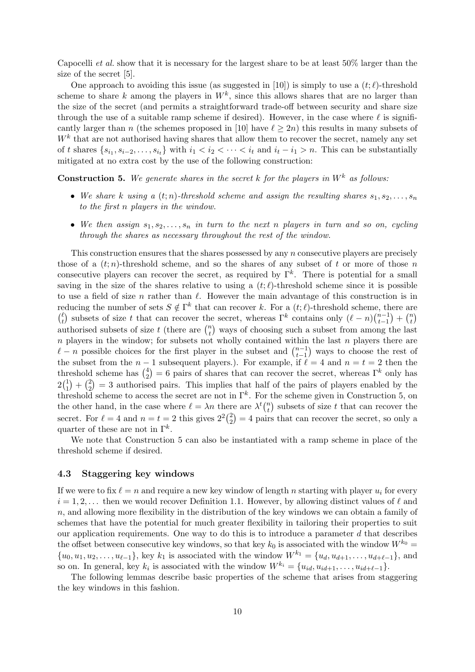Capocelli *et al.* show that it is necessary for the largest share to be at least  $50\%$  larger than the size of the secret [5].

One approach to avoiding this issue (as suggested in [10]) is simply to use a  $(t;\ell)$ -threshold scheme to share k among the players in  $W^k$ , since this allows shares that are no larger than the size of the secret (and permits a straightforward trade-off between security and share size through the use of a suitable ramp scheme if desired). However, in the case where  $\ell$  is significantly larger than n (the schemes proposed in [10] have  $\ell \geq 2n$ ) this results in many subsets of  $W<sup>k</sup>$  that are not authorised having shares that allow them to recover the secret, namely any set of t shares  $\{s_{i_1}, s_{i-2}, \ldots, s_{i_t}\}\$  with  $i_1 < i_2 < \cdots < i_t$  and  $i_t - i_1 > n$ . This can be substantially mitigated at no extra cost by the use of the following construction:

**Construction 5.** We generate shares in the secret k for the players in  $W^k$  as follows:

- We share k using a  $(t; n)$ -threshold scheme and assign the resulting shares  $s_1, s_2, \ldots, s_n$ to the first n players in the window.
- We then assign  $s_1, s_2, \ldots, s_n$  in turn to the next n players in turn and so on, cycling through the shares as necessary throughout the rest of the window.

This construction ensures that the shares possessed by any n consecutive players are precisely those of a  $(t; n)$ -threshold scheme, and so the shares of any subset of t or more of those n consecutive players can recover the secret, as required by  $\Gamma^k$ . There is potential for a small saving in the size of the shares relative to using a  $(t; \ell)$ -threshold scheme since it is possible to use a field of size n rather than  $\ell$ . However the main advantage of this construction is in reducing the number of sets  $S \notin \Gamma^k$  that can recover k. For a  $(t; \ell)$ -threshold scheme, there are  $\binom{\ell}{t}$  $\binom{\ell}{t}$  subsets of size t that can recover the secret, whereas  $\Gamma^k$  contains only  $(\ell - n) \binom{n-1}{t-1}$  $\binom{n-1}{t-1} + \binom{n}{t}$  $\binom{n}{t}$ authorised subsets of size t (there are  $\binom{n}{t}$  $_t^n$ ) ways of choosing such a subset from among the last  $n$  players in the window; for subsets not wholly contained within the last  $n$  players there are  $\ell - n$  possible choices for the first player in the subset and  $\binom{n-1}{t-1}$  $_{t-1}^{n-1}$ ) ways to choose the rest of the subset from the  $n - 1$  subsequent players.). For example, if  $\ell = 4$  and  $n = t = 2$  then the threshold scheme has  $\binom{4}{2}$  $\binom{4}{2}$  = 6 pairs of shares that can recover the secret, whereas  $\Gamma^k$  only has  $2\binom{1}{1}$  $\binom{1}{1} + \binom{2}{2}$  $\binom{2}{2}$  = 3 authorised pairs. This implies that half of the pairs of players enabled by the threshold scheme to access the secret are not in  $\Gamma^k$ . For the scheme given in Construction 5, on the other hand, in the case where  $\ell = \lambda n$  there are  $\lambda^t \binom{n}{t}$  $\binom{n}{t}$  subsets of size t that can recover the secret. For  $\ell = 4$  and  $n = t = 2$  this gives  $2^2\binom{2}{2}$  $\binom{2}{2}$  = 4 pairs that can recover the secret, so only a quarter of these are not in  $\Gamma^k$ .

We note that Construction 5 can also be instantiated with a ramp scheme in place of the threshold scheme if desired.

#### 4.3 Staggering key windows

If we were to fix  $\ell = n$  and require a new key window of length n starting with player  $u_i$  for every  $i = 1, 2, \ldots$  then we would recover Definition 1.1. However, by allowing distinct values of  $\ell$  and n, and allowing more flexibility in the distribution of the key windows we can obtain a family of schemes that have the potential for much greater flexibility in tailoring their properties to suit our application requirements. One way to do this is to introduce a parameter  $d$  that describes the offset between consecutive key windows, so that key  $k_0$  is associated with the window  $W^{k_0} =$  $\{u_0, u_1, u_2, \ldots, u_{\ell-1}\},$  key  $k_1$  is associated with the window  $W^{k_1} = \{u_d, u_{d+1}, \ldots, u_{d+\ell-1}\},$  and so on. In general, key  $k_i$  is associated with the window  $W^{k_i} = \{u_{id}, u_{id+1}, \ldots, u_{id+\ell-1}\}.$ 

The following lemmas describe basic properties of the scheme that arises from staggering the key windows in this fashion.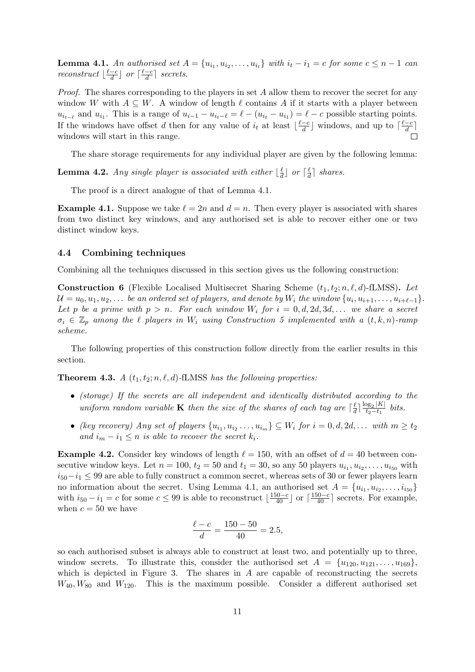**Lemma 4.1.** An authorised set  $A = \{u_{i_1}, u_{i_2}, \ldots, u_{i_t}\}$  with  $i_t - i_1 = c$  for some  $c \leq n - 1$  can reconstruct  $\lfloor \frac{\ell-c}{d} \rfloor$  $\frac{-c}{d}$  or  $\lceil \frac{\ell-c}{d} \rceil$  $\frac{-c}{d}$  secrets.

*Proof.* The shares corresponding to the players in set  $A$  allow them to recover the secret for any window W with  $A \subseteq W$ . A window of length  $\ell$  contains A if it starts with a player between  $u_{i_{t-\ell}}$  and  $u_{i_1}$ . This is a range of  $u_{i-1} - u_{i_t-\ell} = \ell - (u_{i_t} - u_{i_1}) = \ell - c$  possible starting points. If the windows have offset d then for any value of  $i_t$  at least  $\lfloor \frac{\ell-c}{d} \rfloor$  $\frac{-c}{d}$  windows, and up to  $\lceil \frac{\ell-c}{d} \rceil$  $\frac{-c}{d}$ ] windows will start in this range.  $\Box$ 

The share storage requirements for any individual player are given by the following lemma:

**Lemma 4.2.** Any single player is associated with either  $\frac{1}{a}$  $\frac{\ell}{d}$  or  $\lceil \frac{\ell}{a} \rceil$  $\frac{\ell}{d}$  shares.

The proof is a direct analogue of that of Lemma 4.1.

**Example 4.1.** Suppose we take  $\ell = 2n$  and  $d = n$ . Then every player is associated with shares from two distinct key windows, and any authorised set is able to recover either one or two distinct window keys.

### 4.4 Combining techniques

Combining all the techniques discussed in this section gives us the following construction:

**Construction 6** (Flexible Localised Multisecret Sharing Scheme  $(t_1, t_2; n, \ell, d)$ -fLMSS). Let  $\mathcal{U} = u_0, u_1, u_2, \ldots$  be an ordered set of players, and denote by  $W_i$  the window  $\{u_i, u_{i+1}, \ldots, u_{i+\ell-1}\}.$ Let p be a prime with  $p > n$ . For each window  $W_i$  for  $i = 0, d, 2d, 3d, ...$  we share a secret  $\sigma_i \in \mathbb{Z}_p$  among the  $\ell$  players in  $W_i$  using Construction 5 implemented with a  $(t, k, n)$ -ramp scheme.

The following properties of this construction follow directly from the earlier results in this section.

**Theorem 4.3.** A  $(t_1, t_2; n, \ell, d)$ -fLMSS has the following properties:

- (storage) If the secrets are all independent and identically distributed according to the uniform random variable **K** then the size of the shares of each tag are  $\begin{bmatrix} \frac{\ell}{a} \end{bmatrix}$  $\frac{\ell}{d}$ ]  $\frac{\log_2 |K|}{t_2-t_1}$  $rac{\log_2 |K|}{t_2-t_1}$  bits.
- (key recovery) Any set of players  $\{u_{i_1}, u_{i_2} \ldots, u_{i_m}\} \subseteq W_i$  for  $i = 0, d, 2d, \ldots$  with  $m \ge t_2$ and  $i_m - i_1 \leq n$  is able to recover the secret  $k_i$ .

**Example 4.2.** Consider key windows of length  $\ell = 150$ , with an offset of  $d = 40$  between consecutive window keys. Let  $n = 100$ ,  $t_2 = 50$  and  $t_1 = 30$ , so any 50 players  $u_{i_1}, u_{i_2}, \ldots, u_{i_{50}}$  with  $i_{50}-i_1 \leq 99$  are able to fully construct a common secret, whereas sets of 30 or fewer players learn no information about the secret. Using Lemma 4.1, an authorised set  $A = \{u_{i_1}, u_{i_2}, \ldots, u_{i_{50}}\}$ with  $i_{50} - i_1 = c$  for some  $c \leq 99$  is able to reconstruct  $\lfloor \frac{150-c}{40} \rfloor$  or  $\lceil \frac{150-c}{40} \rceil$  secrets. For example, when  $c = 50$  we have

$$
\frac{\ell - c}{d} = \frac{150 - 50}{40} = 2.5,
$$

so each authorised subset is always able to construct at least two, and potentially up to three, window secrets. To illustrate this, consider the authorised set  $A = \{u_{120}, u_{121}, \ldots, u_{169}\},\$ which is depicted in Figure 3. The shares in  $A$  are capable of reconstructing the secrets  $W_{40}, W_{80}$  and  $W_{120}$ . This is the maximum possible. Consider a different authorised set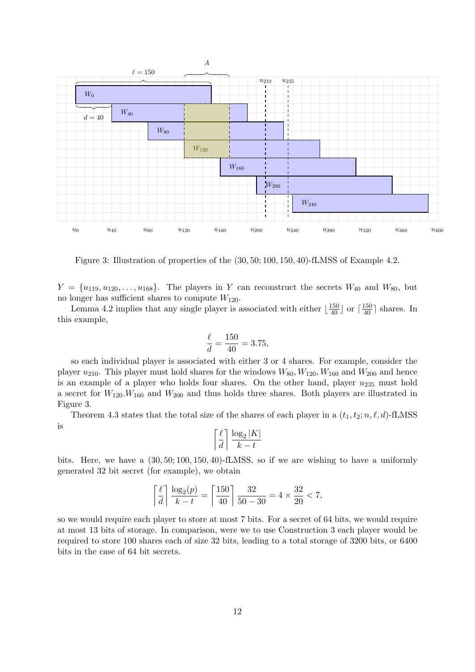

Figure 3: Illustration of properties of the (30, 50; 100, 150, 40)-fLMSS of Example 4.2.

 $Y = \{u_{119}, u_{120}, \ldots, u_{168}\}.$  The players in Y can reconstruct the secrets  $W_{40}$  and  $W_{80}$ , but no longer has sufficient shares to compute  $W_{120}$ .

Lemma 4.2 implies that any single player is associated with either  $\lfloor \frac{150}{40} \rfloor$  or  $\lceil \frac{150}{40} \rceil$  shares. In this example,

$$
\frac{\ell}{d} = \frac{150}{40} = 3.75,
$$

so each individual player is associated with either 3 or 4 shares. For example, consider the player  $u_{210}$ . This player must hold shares for the windows  $W_{80}$ ,  $W_{120}$ ,  $W_{160}$  and  $W_{200}$  and hence is an example of a player who holds four shares. On the other hand, player  $u_{235}$  must hold a secret for  $W_{120}W_{160}$  and  $W_{200}$  and thus holds three shares. Both players are illustrated in Figure 3.

Theorem 4.3 states that the total size of the shares of each player in a  $(t_1, t_2; n, \ell, d)$ -fLMSS is

$$
\left\lceil \frac{\ell}{d} \right\rceil \frac{\log_2 |K|}{k - t}
$$

bits. Here, we have a (30, 50; 100, 150, 40)-fLMSS, so if we are wishing to have a uniformly generated 32 bit secret (for example), we obtain

$$
\left\lceil \frac{\ell}{d} \right\rceil \frac{\log_2(p)}{k - t} = \left\lceil \frac{150}{40} \right\rceil \frac{32}{50 - 30} = 4 \times \frac{32}{20} < 7,
$$

so we would require each player to store at most 7 bits. For a secret of 64 bits, we would require at most 13 bits of storage. In comparison, were we to use Construction 3 each player would be required to store 100 shares each of size 32 bits, leading to a total storage of 3200 bits, or 6400 bits in the case of 64 bit secrets.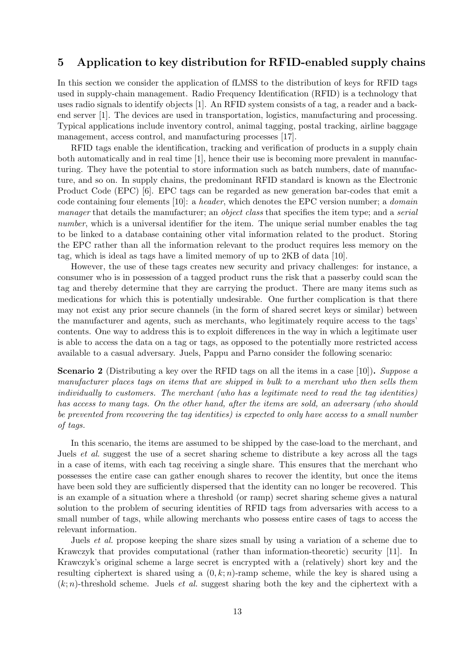## 5 Application to key distribution for RFID-enabled supply chains

In this section we consider the application of fLMSS to the distribution of keys for RFID tags used in supply-chain management. Radio Frequency Identification (RFID) is a technology that uses radio signals to identify objects [1]. An RFID system consists of a tag, a reader and a backend server [1]. The devices are used in transportation, logistics, manufacturing and processing. Typical applications include inventory control, animal tagging, postal tracking, airline baggage management, access control, and manufacturing processes [17].

RFID tags enable the identification, tracking and verification of products in a supply chain both automatically and in real time [1], hence their use is becoming more prevalent in manufacturing. They have the potential to store information such as batch numbers, date of manufacture, and so on. In supply chains, the predominant RFID standard is known as the Electronic Product Code (EPC) [6]. EPC tags can be regarded as new generation bar-codes that emit a code containing four elements [10]: a header, which denotes the EPC version number; a domain manager that details the manufacturer; an *object class* that specifies the item type; and a *serial* number, which is a universal identifier for the item. The unique serial number enables the tag to be linked to a database containing other vital information related to the product. Storing the EPC rather than all the information relevant to the product requires less memory on the tag, which is ideal as tags have a limited memory of up to 2KB of data [10].

However, the use of these tags creates new security and privacy challenges: for instance, a consumer who is in possession of a tagged product runs the risk that a passerby could scan the tag and thereby determine that they are carrying the product. There are many items such as medications for which this is potentially undesirable. One further complication is that there may not exist any prior secure channels (in the form of shared secret keys or similar) between the manufacturer and agents, such as merchants, who legitimately require access to the tags' contents. One way to address this is to exploit differences in the way in which a legitimate user is able to access the data on a tag or tags, as opposed to the potentially more restricted access available to a casual adversary. Juels, Pappu and Parno consider the following scenario:

**Scenario 2** (Distributing a key over the RFID tags on all the items in a case [10]). Suppose a manufacturer places tags on items that are shipped in bulk to a merchant who then sells them individually to customers. The merchant (who has a legitimate need to read the tag identities) has access to many tags. On the other hand, after the items are sold, an adversary (who should be prevented from recovering the tag identities) is expected to only have access to a small number of tags.

In this scenario, the items are assumed to be shipped by the case-load to the merchant, and Juels et al. suggest the use of a secret sharing scheme to distribute a key across all the tags in a case of items, with each tag receiving a single share. This ensures that the merchant who possesses the entire case can gather enough shares to recover the identity, but once the items have been sold they are sufficiently dispersed that the identity can no longer be recovered. This is an example of a situation where a threshold (or ramp) secret sharing scheme gives a natural solution to the problem of securing identities of RFID tags from adversaries with access to a small number of tags, while allowing merchants who possess entire cases of tags to access the relevant information.

Juels et al. propose keeping the share sizes small by using a variation of a scheme due to Krawczyk that provides computational (rather than information-theoretic) security [11]. In Krawczyk's original scheme a large secret is encrypted with a (relatively) short key and the resulting ciphertext is shared using a  $(0, k; n)$ -ramp scheme, while the key is shared using a  $(k; n)$ -threshold scheme. Juels *et al.* suggest sharing both the key and the ciphertext with a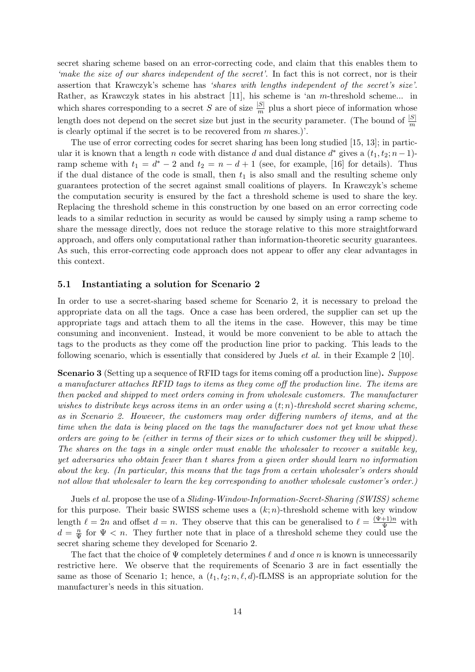secret sharing scheme based on an error-correcting code, and claim that this enables them to 'make the size of our shares independent of the secret'. In fact this is not correct, nor is their assertion that Krawczyk's scheme has 'shares with lengths independent of the secret's size'. Rather, as Krawczyk states in his abstract [11], his scheme is 'an m-threshold scheme... in which shares corresponding to a secret S are of size  $\frac{|S|}{m}$  plus a short piece of information whose length does not depend on the secret size but just in the security parameter. (The bound of  $\frac{|S|}{m}$ is clearly optimal if the secret is to be recovered from  $m$  shares.)'.

The use of error correcting codes for secret sharing has been long studied [15, 13]; in particular it is known that a length n code with distance d and dual distance  $d^*$  gives a  $(t_1, t_2; n-1)$ ramp scheme with  $t_1 = d^* - 2$  and  $t_2 = n - d + 1$  (see, for example, [16] for details). Thus if the dual distance of the code is small, then  $t_1$  is also small and the resulting scheme only guarantees protection of the secret against small coalitions of players. In Krawczyk's scheme the computation security is ensured by the fact a threshold scheme is used to share the key. Replacing the threshold scheme in this construction by one based on an error correcting code leads to a similar reduction in security as would be caused by simply using a ramp scheme to share the message directly, does not reduce the storage relative to this more straightforward approach, and offers only computational rather than information-theoretic security guarantees. As such, this error-correcting code approach does not appear to offer any clear advantages in this context.

### 5.1 Instantiating a solution for Scenario 2

In order to use a secret-sharing based scheme for Scenario 2, it is necessary to preload the appropriate data on all the tags. Once a case has been ordered, the supplier can set up the appropriate tags and attach them to all the items in the case. However, this may be time consuming and inconvenient. Instead, it would be more convenient to be able to attach the tags to the products as they come off the production line prior to packing. This leads to the following scenario, which is essentially that considered by Juels et al. in their Example 2 [10].

Scenario 3 (Setting up a sequence of RFID tags for items coming off a production line). Suppose a manufacturer attaches RFID tags to items as they come off the production line. The items are then packed and shipped to meet orders coming in from wholesale customers. The manufacturer wishes to distribute keys across items in an order using a  $(t; n)$ -threshold secret sharing scheme, as in Scenario 2. However, the customers may order differing numbers of items, and at the time when the data is being placed on the tags the manufacturer does not yet know what these orders are going to be (either in terms of their sizes or to which customer they will be shipped). The shares on the tags in a single order must enable the wholesaler to recover a suitable key, yet adversaries who obtain fewer than t shares from a given order should learn no information about the key. (In particular, this means that the tags from a certain wholesaler's orders should not allow that wholesaler to learn the key corresponding to another wholesale customer's order.)

Juels et al. propose the use of a *Sliding-Window-Information-Secret-Sharing (SWISS)* scheme for this purpose. Their basic SWISS scheme uses a  $(k; n)$ -threshold scheme with key window length  $\ell = 2n$  and offset  $d = n$ . They observe that this can be generalised to  $\ell = \frac{(\Psi + 1)n}{\Psi}$  with  $d = \frac{n}{\Psi}$  $\frac{n}{\Psi}$  for  $\Psi < n$ . They further note that in place of a threshold scheme they could use the secret sharing scheme they developed for Scenario 2.

The fact that the choice of  $\Psi$  completely determines  $\ell$  and d once n is known is unnecessarily restrictive here. We observe that the requirements of Scenario 3 are in fact essentially the same as those of Scenario 1; hence, a  $(t_1, t_2; n, \ell, d)$ -fLMSS is an appropriate solution for the manufacturer's needs in this situation.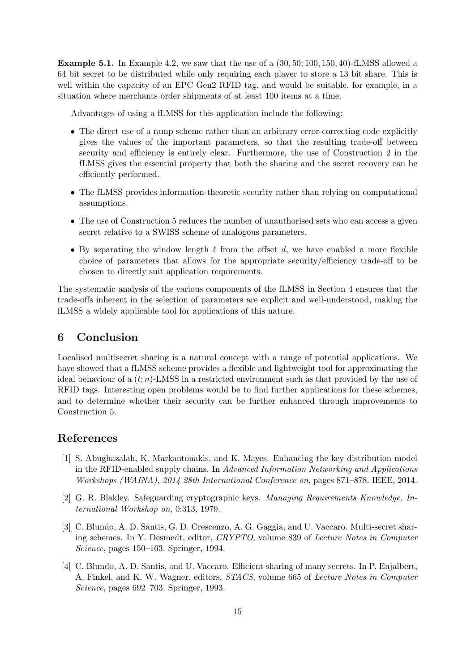Example 5.1. In Example 4.2, we saw that the use of a (30, 50; 100, 150, 40)-fLMSS allowed a 64 bit secret to be distributed while only requiring each player to store a 13 bit share. This is well within the capacity of an EPC Gen2 RFID tag, and would be suitable, for example, in a situation where merchants order shipments of at least 100 items at a time.

Advantages of using a fLMSS for this application include the following:

- The direct use of a ramp scheme rather than an arbitrary error-correcting code explicitly gives the values of the important parameters, so that the resulting trade-off between security and efficiency is entirely clear. Furthermore, the use of Construction 2 in the fLMSS gives the essential property that both the sharing and the secret recovery can be efficiently performed.
- The fLMSS provides information-theoretic security rather than relying on computational assumptions.
- The use of Construction 5 reduces the number of unauthorised sets who can access a given secret relative to a SWISS scheme of analogous parameters.
- By separating the window length  $\ell$  from the offset d, we have enabled a more flexible choice of parameters that allows for the appropriate security/efficiency trade-off to be chosen to directly suit application requirements.

The systematic analysis of the various components of the fLMSS in Section 4 ensures that the trade-offs inherent in the selection of parameters are explicit and well-understood, making the fLMSS a widely applicable tool for applications of this nature.

# 6 Conclusion

Localised multisecret sharing is a natural concept with a range of potential applications. We have showed that a fLMSS scheme provides a flexible and lightweight tool for approximating the ideal behaviour of a  $(t; n)$ -LMSS in a restricted environment such as that provided by the use of RFID tags. Interesting open problems would be to find further applications for these schemes, and to determine whether their security can be further enhanced through improvements to Construction 5.

# References

- [1] S. Abughazalah, K. Markantonakis, and K. Mayes. Enhancing the key distribution model in the RFID-enabled supply chains. In Advanced Information Networking and Applications Workshops (WAINA), 2014 28th International Conference on, pages 871–878. IEEE, 2014.
- [2] G. R. Blakley. Safeguarding cryptographic keys. Managing Requirements Knowledge, International Workshop on, 0:313, 1979.
- [3] C. Blundo, A. D. Santis, G. D. Crescenzo, A. G. Gaggia, and U. Vaccaro. Multi-secret sharing schemes. In Y. Desmedt, editor, CRYPTO, volume 839 of Lecture Notes in Computer Science, pages 150–163. Springer, 1994.
- [4] C. Blundo, A. D. Santis, and U. Vaccaro. Efficient sharing of many secrets. In P. Enjalbert, A. Finkel, and K. W. Wagner, editors, STACS, volume 665 of Lecture Notes in Computer Science, pages 692–703. Springer, 1993.